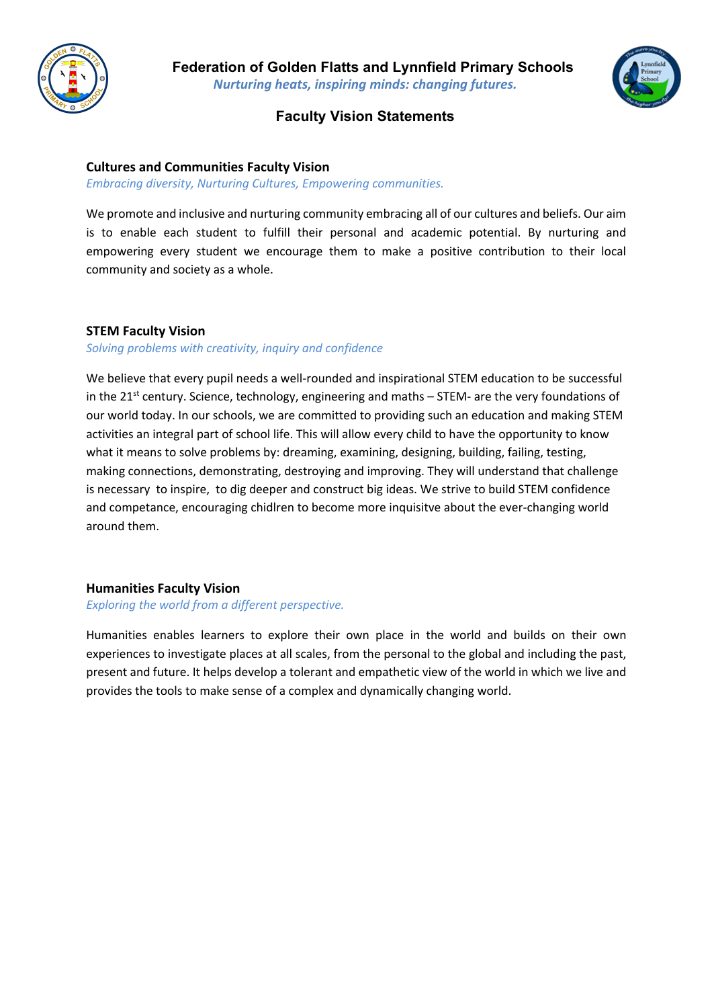



## **Faculty Vision Statements**

#### **Cultures and Communities Faculty Vision**

*Embracing diversity, Nurturing Cultures, Empowering communities.*

We promote and inclusive and nurturing community embracing all of our cultures and beliefs. Our aim is to enable each student to fulfill their personal and academic potential. By nurturing and empowering every student we encourage them to make a positive contribution to their local community and society as a whole.

#### **STEM Faculty Vision**

### *Solving problems with creativity, inquiry and confidence*

We believe that every pupil needs a well-rounded and inspirational STEM education to be successful in the 21<sup>st</sup> century. Science, technology, engineering and maths  $-$  STEM- are the very foundations of our world today. In our schools, we are committed to providing such an education and making STEM activities an integral part of school life. This will allow every child to have the opportunity to know what it means to solve problems by: dreaming, examining, designing, building, failing, testing, making connections, demonstrating, destroying and improving. They will understand that challenge is necessary to inspire, to dig deeper and construct big ideas. We strive to build STEM confidence and competance, encouraging chidlren to become more inquisitve about the ever-changing world around them.

#### **Humanities Faculty Vision**

#### *Exploring the world from a different perspective.*

Humanities enables learners to explore their own place in the world and builds on their own experiences to investigate places at all scales, from the personal to the global and including the past, present and future. It helps develop a tolerant and empathetic view of the world in which we live and provides the tools to make sense of a complex and dynamically changing world.